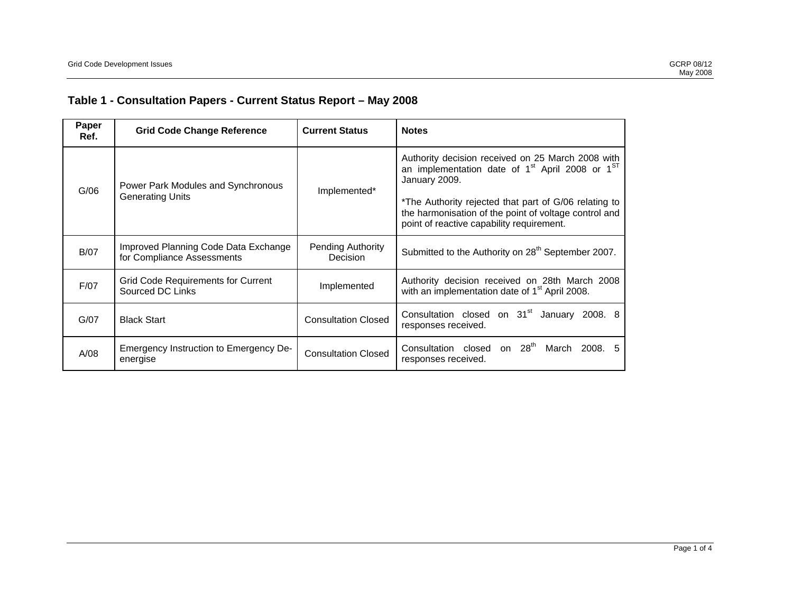## **Table 1 - Consultation Papers - Current Status Report – May 2008**

| Paper<br>Ref. | <b>Grid Code Change Reference</b>                                  | <b>Current Status</b>                       | <b>Notes</b>                                                                                                                                                                                                                                                                                                 |
|---------------|--------------------------------------------------------------------|---------------------------------------------|--------------------------------------------------------------------------------------------------------------------------------------------------------------------------------------------------------------------------------------------------------------------------------------------------------------|
| G/06          | Power Park Modules and Synchronous<br><b>Generating Units</b>      | Implemented*                                | Authority decision received on 25 March 2008 with<br>an implementation date of 1 <sup>st</sup> April 2008 or 1 <sup>ST</sup><br>January 2009.<br>*The Authority rejected that part of G/06 relating to<br>the harmonisation of the point of voltage control and<br>point of reactive capability requirement. |
| <b>B/07</b>   | Improved Planning Code Data Exchange<br>for Compliance Assessments | <b>Pending Authority</b><br><b>Decision</b> | Submitted to the Authority on 28 <sup>th</sup> September 2007.                                                                                                                                                                                                                                               |
| F/07          | <b>Grid Code Requirements for Current</b><br>Sourced DC Links      | Implemented                                 | Authority decision received on 28th March 2008<br>with an implementation date of 1 <sup>st</sup> April 2008.                                                                                                                                                                                                 |
| G/07          | <b>Black Start</b>                                                 | <b>Consultation Closed</b>                  | Consultation closed on 31 <sup>st</sup> January<br>2008. 8<br>responses received.                                                                                                                                                                                                                            |
| A/08          | Emergency Instruction to Emergency De-<br>energise                 | <b>Consultation Closed</b>                  | on $28th$<br>Consultation closed<br>March 2008.<br>-5<br>responses received.                                                                                                                                                                                                                                 |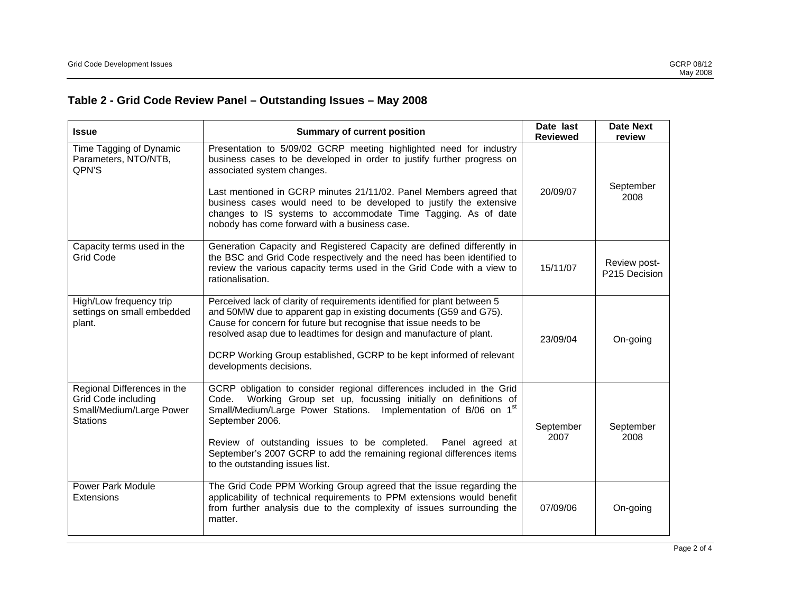## **Table 2 - Grid Code Review Panel – Outstanding Issues – May 2008**

| <b>Summary of current position</b><br><b>Issue</b>                                                       |                                                                                                                                                                                                                                                                                                                                                                                                                                          | Date last<br><b>Reviewed</b> | <b>Date Next</b><br>review    |
|----------------------------------------------------------------------------------------------------------|------------------------------------------------------------------------------------------------------------------------------------------------------------------------------------------------------------------------------------------------------------------------------------------------------------------------------------------------------------------------------------------------------------------------------------------|------------------------------|-------------------------------|
| Time Tagging of Dynamic<br>Parameters, NTO/NTB,<br>QPN'S                                                 | Presentation to 5/09/02 GCRP meeting highlighted need for industry<br>business cases to be developed in order to justify further progress on<br>associated system changes.<br>Last mentioned in GCRP minutes 21/11/02. Panel Members agreed that<br>business cases would need to be developed to justify the extensive<br>changes to IS systems to accommodate Time Tagging. As of date<br>nobody has come forward with a business case. | 20/09/07                     | September<br>2008             |
| Capacity terms used in the<br><b>Grid Code</b>                                                           | Generation Capacity and Registered Capacity are defined differently in<br>the BSC and Grid Code respectively and the need has been identified to<br>review the various capacity terms used in the Grid Code with a view to<br>rationalisation.                                                                                                                                                                                           | 15/11/07                     | Review post-<br>P215 Decision |
| High/Low frequency trip<br>settings on small embedded<br>plant.                                          | Perceived lack of clarity of requirements identified for plant between 5<br>and 50MW due to apparent gap in existing documents (G59 and G75).<br>Cause for concern for future but recognise that issue needs to be<br>resolved asap due to leadtimes for design and manufacture of plant.<br>DCRP Working Group established, GCRP to be kept informed of relevant<br>developments decisions.                                             | 23/09/04                     | On-going                      |
| Regional Differences in the<br><b>Grid Code including</b><br>Small/Medium/Large Power<br><b>Stations</b> | GCRP obligation to consider regional differences included in the Grid<br>Working Group set up, focussing initially on definitions of<br>Code.<br>Small/Medium/Large Power Stations. Implementation of B/06 on 1st<br>September 2006.<br>Review of outstanding issues to be completed.<br>Panel agreed at<br>September's 2007 GCRP to add the remaining regional differences items<br>to the outstanding issues list.                     | September<br>2007            | September<br>2008             |
| <b>Power Park Module</b><br><b>Extensions</b>                                                            | The Grid Code PPM Working Group agreed that the issue regarding the<br>applicability of technical requirements to PPM extensions would benefit<br>from further analysis due to the complexity of issues surrounding the<br>matter.                                                                                                                                                                                                       | 07/09/06                     | On-going                      |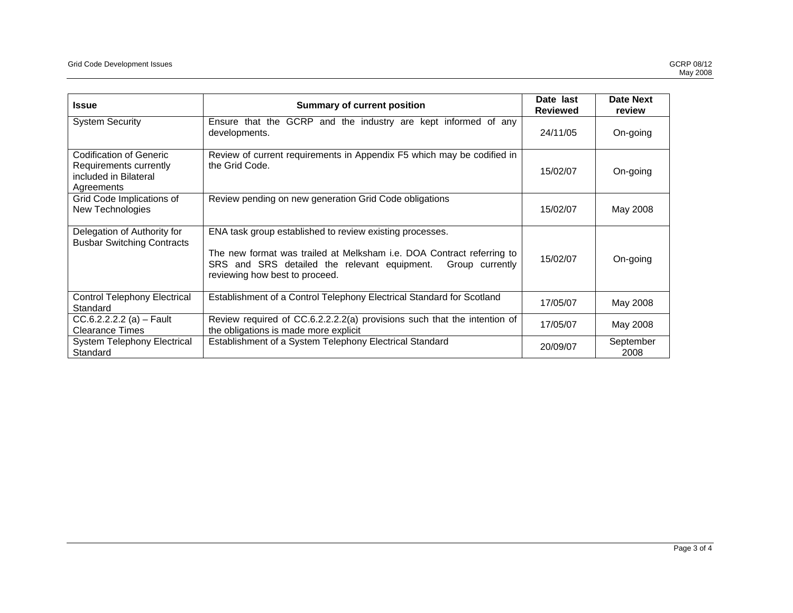| <b>Summary of current position</b><br><b>Issue</b>                                                        |                                                                                                                                                                                                                                        | Date last<br><b>Reviewed</b> | Date Next<br>review |
|-----------------------------------------------------------------------------------------------------------|----------------------------------------------------------------------------------------------------------------------------------------------------------------------------------------------------------------------------------------|------------------------------|---------------------|
| <b>System Security</b><br>Ensure that the GCRP and the industry are kept informed of any<br>developments. |                                                                                                                                                                                                                                        | 24/11/05                     | On-going            |
| Codification of Generic<br>Requirements currently<br>included in Bilateral<br>Agreements                  | Review of current requirements in Appendix F5 which may be codified in<br>the Grid Code.                                                                                                                                               | 15/02/07                     | On-going            |
| Grid Code Implications of<br>New Technologies                                                             | Review pending on new generation Grid Code obligations                                                                                                                                                                                 | 15/02/07                     | May 2008            |
| Delegation of Authority for<br><b>Busbar Switching Contracts</b>                                          | ENA task group established to review existing processes.<br>The new format was trailed at Melksham i.e. DOA Contract referring to<br>SRS and SRS detailed the relevant equipment.<br>Group currently<br>reviewing how best to proceed. | 15/02/07                     | On-going            |
| <b>Control Telephony Electrical</b><br>Standard                                                           | Establishment of a Control Telephony Electrical Standard for Scotland                                                                                                                                                                  | 17/05/07                     | May 2008            |
| $CC.6.2.2.2.2$ (a) - Fault<br><b>Clearance Times</b>                                                      | Review required of CC.6.2.2.2.2(a) provisions such that the intention of<br>the obligations is made more explicit                                                                                                                      | 17/05/07                     | May 2008            |
| <b>System Telephony Electrical</b><br>Standard                                                            | Establishment of a System Telephony Electrical Standard                                                                                                                                                                                | 20/09/07                     | September<br>2008   |